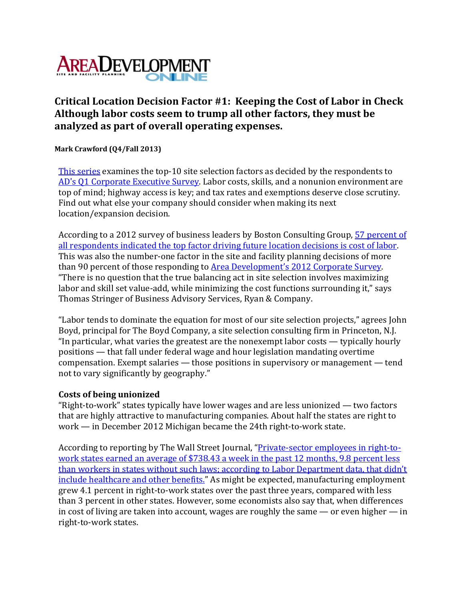

## **Critical Location Decision Factor #1: Keeping the Cost of Labor in Check Although labor costs seem to trump all other factors, they must be analyzed as part of overall operating expenses.**

**Mark Crawford (Q4/Fall 2013)**

This series examines the top-10 site selection factors as decided by the respondents to AD's Q1 Corporate Executive Survey. Labor costs, skills, and a nonunion environment are top of mind; highway access is key; and tax rates and exemptions deserve close scrutiny. Find out what else your company should consider when making its next location/expansion decision.

According to a 2012 survey of business leaders by Boston Consulting Group, 57 percent of all respondents indicated the top factor driving future location decisions is cost of labor. This was also the number-one factor in the site and facility planning decisions of more than 90 percent of those responding to Area Development's 2012 Corporate Survey. "There is no question that the true balancing act in site selection involves maximizing labor and skill set value-add, while minimizing the cost functions surrounding it," says Thomas Stringer of Business Advisory Services, Ryan & Company.

"Labor tends to dominate the equation for most of our site selection projects," agrees John Boyd, principal for The Boyd Company, a site selection consulting firm in Princeton, N.J. "In particular, what varies the greatest are the nonexempt labor costs — typically hourly positions — that fall under federal wage and hour legislation mandating overtime compensation. Exempt salaries — those positions in supervisory or management — tend not to vary significantly by geography."

## **Costs of being unionized**

"Right‐to‐work" states typically have lower wages and are less unionized — two factors that are highly attractive to manufacturing companies. About half the states are right to work — in December 2012 Michigan became the 24th right-to-work state.

According to reporting by The Wall Street Journal, "Private-sector employees in right-towork states earned an average of \$738.43 a week in the past 12 months, 9.8 percent less than workers in states without such laws; according to Labor Department data, that didn't include healthcare and other benefits." As might be expected, manufacturing employment grew 4.1 percent in right‐to‐work states over the past three years, compared with less than 3 percent in other states. However, some economists also say that, when differences in cost of living are taken into account, wages are roughly the same  $-$  or even higher  $-$  in right‐to‐work states.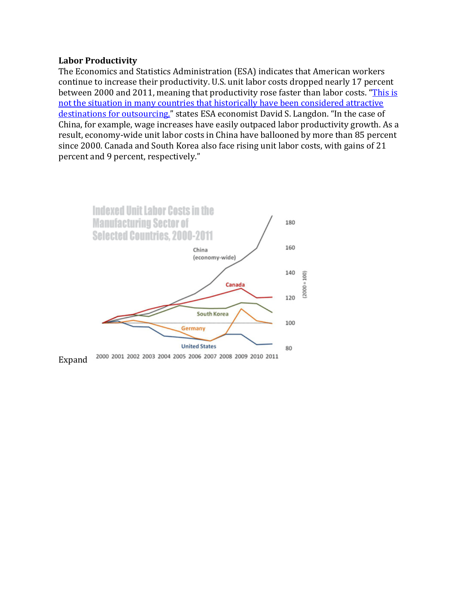## **Labor Productivity**

The Economics and Statistics Administration (ESA) indicates that American workers continue to increase their productivity. U.S. unit labor costs dropped nearly 17 percent between 2000 and 2011, meaning that productivity rose faster than labor costs. "This is not the situation in many countries that historically have been considered attractive destinations for outsourcing," states ESA economist David S. Langdon. "In the case of China, for example, wage increases have easily outpaced labor productivity growth. As a result, economy‐wide unit labor costs in China have ballooned by more than 85 percent since 2000. Canada and South Korea also face rising unit labor costs, with gains of 21 percent and 9 percent, respectively."